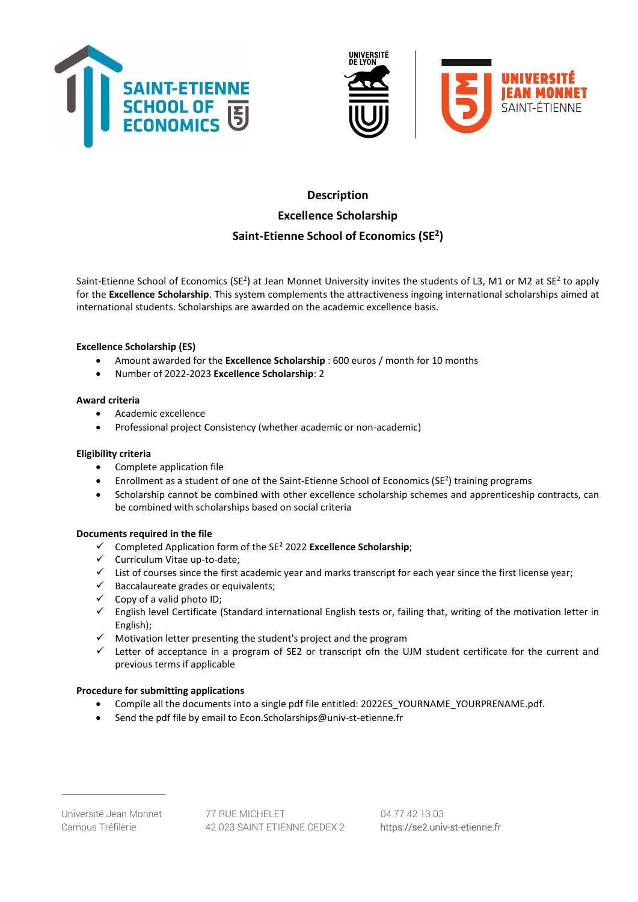





# **Description** Excellence Scholarship Saint-Etienne School of Economics (SE<sup>2</sup>)

Saint-Etienne School of Economics (SE<sup>2</sup>) at Jean Monnet University invites the students of L3, M1 or M2 at SE<sup>2</sup> to apply for the Excellence Scholarship. This system complements the attractiveness ingoing international scholarships aimed at international students. Scholarships are awarded on the academic excellence basis.

## Excellence Scholarship (ES)

- Amount awarded for the **Excellence Scholarship**: 600 euros / month for 10 months
- Number of 2022-2023 Excellence Scholarship: 2

#### Award criteria

- Academic excellence
- Professional project Consistency (whether academic or non-academic)

#### Eligibility criteria

- Complete application file
- Enrollment as a student of one of the Saint-Etienne School of Economics (SE<sup>2</sup>) training programs
- Scholarship cannot be combined with other excellence scholarship schemes and apprenticeship contracts, can be combined with scholarships based on social criteria

#### Documents required in the file

- $\checkmark$  Completed Application form of the SE<sup>2</sup> 2022 Excellence Scholarship;
- $\checkmark$  Curriculum Vitae up-to-date;
- $\checkmark$  List of courses since the first academic year and marks transcript for each year since the first license year;
- $\checkmark$  Baccalaureate grades or equivalents;
- $\checkmark$  Copy of a valid photo ID;
- $\checkmark$  English level Certificate (Standard international English tests or, failing that, writing of the motivation letter in English);
- $\checkmark$  Motivation letter presenting the student's project and the program
- $\checkmark$  Letter of acceptance in a program of SE2 or transcript ofn the UJM student certificate for the current and previous terms if applicable

#### Procedure for submitting applications

- Compile all the documents into a single pdf file entitled: 2022ES\_YOURNAME\_YOURPRENAME.pdf.
- Send the pdf file by email to Econ.Scholarships@univ-st-etienne.fr

Université Jean Monnet 77 RUE MICHELET 04 77 42 13 03 Campus Tréfilerie 42 023 SAINT ETIENNE CEDEX 2 https://se2.univ-st-etienne.fr